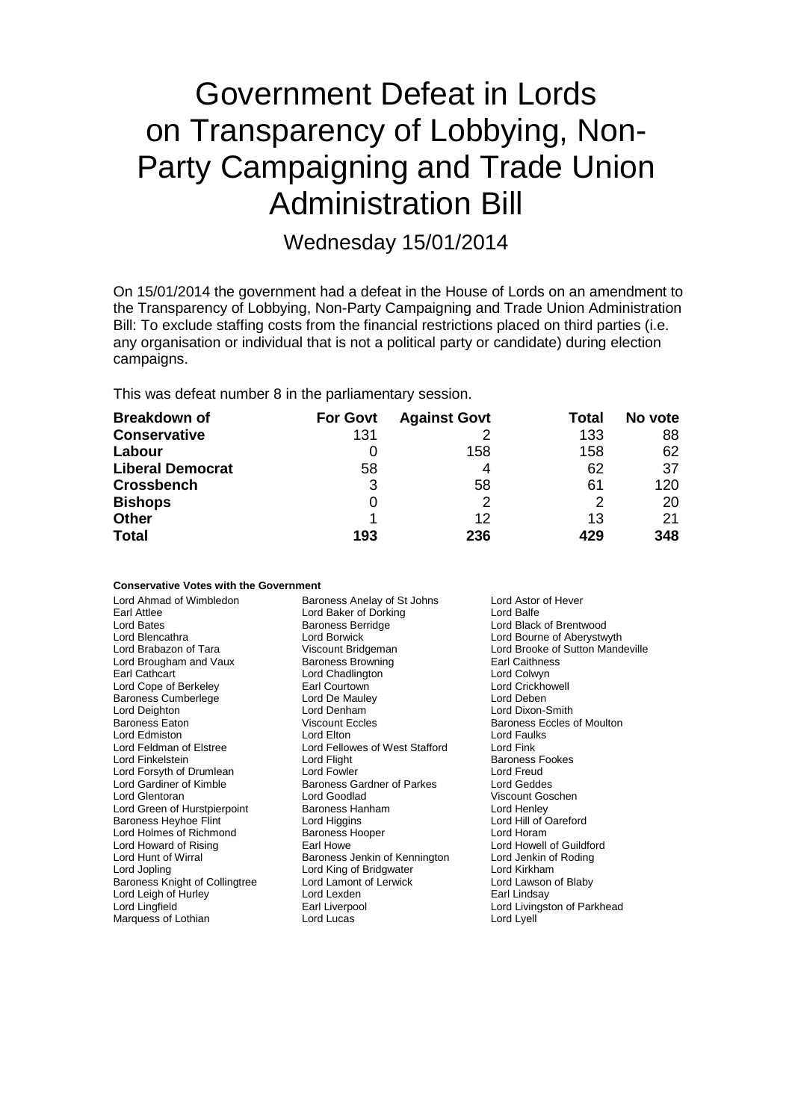# Government Defeat in Lords on Transparency of Lobbying, Non-Party Campaigning and Trade Union Administration Bill

Wednesday 15/01/2014

On 15/01/2014 the government had a defeat in the House of Lords on an amendment to the Transparency of Lobbying, Non-Party Campaigning and Trade Union Administration Bill: To exclude staffing costs from the financial restrictions placed on third parties (i.e. any organisation or individual that is not a political party or candidate) during election campaigns.

This was defeat number 8 in the parliamentary session.

| <b>Breakdown of</b>     | <b>For Govt</b> | <b>Against Govt</b> | Total | No vote |
|-------------------------|-----------------|---------------------|-------|---------|
| <b>Conservative</b>     | 131             |                     | 133   | 88      |
| Labour                  |                 | 158                 | 158   | 62      |
| <b>Liberal Democrat</b> | 58              | 4                   | 62    | 37      |
| <b>Crossbench</b>       | 3               | 58                  | 61    | 120     |
| <b>Bishops</b>          | 0               |                     | 2     | 20      |
| <b>Other</b>            |                 | 12                  | 13    | 21      |
| <b>Total</b>            | 193             | 236                 | 429   | 348     |

**Conservative Votes with the Government**

| Lord Ahmad of Wimbledon        | Baroness Anelay of St Johns<br>Lord Astor of Hever     |                             |  |
|--------------------------------|--------------------------------------------------------|-----------------------------|--|
| Earl Attlee                    | Lord Baker of Dorking<br>Lord Balfe                    |                             |  |
| Lord Bates                     | <b>Baroness Berridge</b>                               | Lord Black of Brentwood     |  |
| Lord Blencathra                | Lord Bourne of Aberystwyth<br>Lord Borwick             |                             |  |
| Lord Brabazon of Tara          | Lord Brooke of Sutton Mandeville<br>Viscount Bridgeman |                             |  |
| Lord Brougham and Vaux         | <b>Baroness Browning</b><br><b>Earl Caithness</b>      |                             |  |
| Earl Cathcart                  | Lord Chadlington                                       | Lord Colwyn                 |  |
| Lord Cope of Berkeley          | Earl Courtown                                          | <b>Lord Crickhowell</b>     |  |
| <b>Baroness Cumberlege</b>     | Lord De Mauley                                         | Lord Deben                  |  |
| Lord Deighton                  | Lord Denham<br>Lord Dixon-Smith                        |                             |  |
| Baroness Eaton                 | Viscount Eccles                                        | Baroness Eccles of Moulton  |  |
| Lord Edmiston                  | Lord Elton                                             | Lord Faulks                 |  |
| Lord Feldman of Elstree        | Lord Fellowes of West Stafford                         | Lord Fink                   |  |
| Lord Finkelstein               | Lord Flight                                            | Baroness Fookes             |  |
| Lord Forsyth of Drumlean       | Lord Fowler                                            | Lord Freud                  |  |
| Lord Gardiner of Kimble        | Baroness Gardner of Parkes                             | Lord Geddes                 |  |
| Lord Glentoran                 | Lord Goodlad                                           | Viscount Goschen            |  |
| Lord Green of Hurstpierpoint   | Baroness Hanham                                        | Lord Henley                 |  |
| <b>Baroness Heyhoe Flint</b>   | Lord Higgins                                           | Lord Hill of Oareford       |  |
| Lord Holmes of Richmond        | <b>Baroness Hooper</b>                                 | Lord Horam                  |  |
| Lord Howard of Rising          | Earl Howe                                              | Lord Howell of Guildford    |  |
| Lord Hunt of Wirral            | Baroness Jenkin of Kennington                          | Lord Jenkin of Roding       |  |
| Lord Jopling                   | Lord King of Bridgwater                                | Lord Kirkham                |  |
| Baroness Knight of Collingtree | Lord Lamont of Lerwick                                 | Lord Lawson of Blaby        |  |
| Lord Leigh of Hurley           | Lord Lexden                                            | Earl Lindsay                |  |
| Lord Lingfield                 | Earl Liverpool                                         | Lord Livingston of Parkhead |  |
| Marquess of Lothian            | Lord Lucas                                             | Lord Lyell                  |  |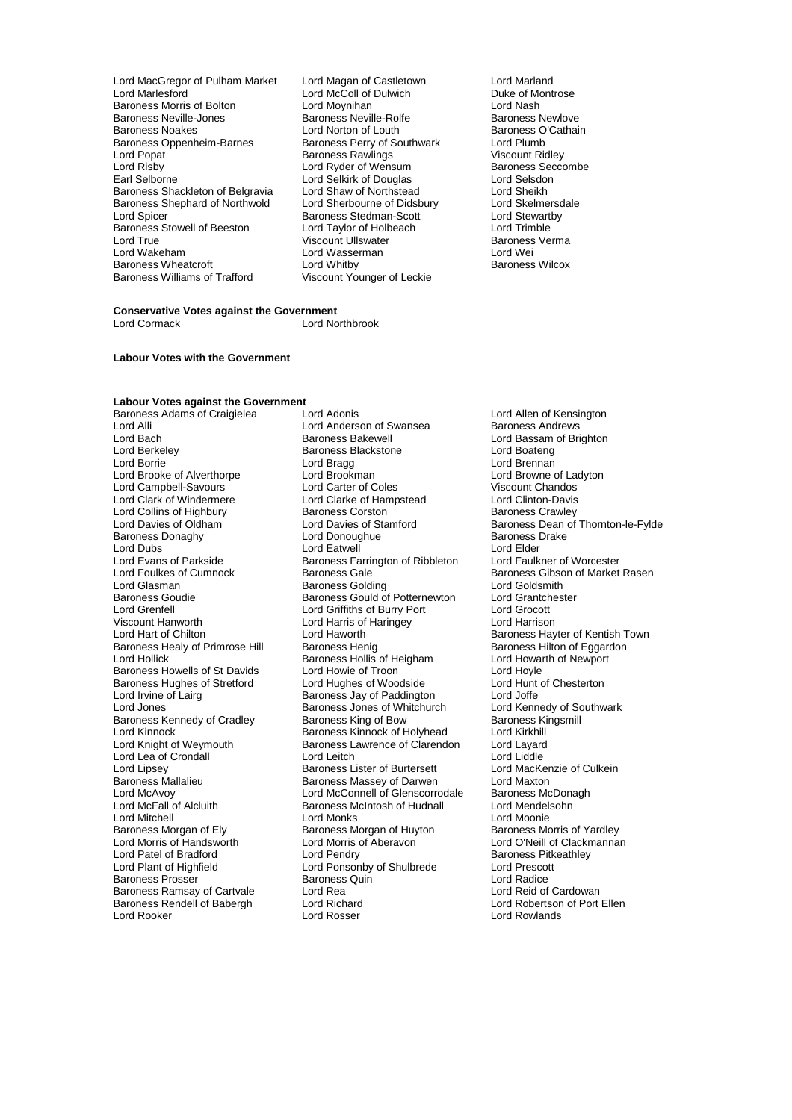- Lord MacGregor of Pulham Market Lord Magan of Castletown Lord Marland Baroness Morris of Bolton **Lord Lord Moynihan**<br>Baroness Neville-Jones **Container Baroness Neville-Rolfe Lord Nash** Baroness Newlove Baroness Neville-Jones **Baroness Neville-Rolfe** Baroness Newlove<br>Baroness Noakes **Baroness Communist Control** Baroness O'Cathain Baroness Noakes **Communist Control Control Control** Baroness O<br>Baroness Oppenheim-Barnes Communist Baroness Perry of Southwark Lord Plumb Baroness Oppenheim-Barnes Baroness Perry of Southwark Lord Plumb<br>
Lord Popat Cord Popat Baroness Rawlings Coreans Coreans Lord Popat in the State Baroness Rawlings Corresponding to Viscount Ridley<br>
Lord Risby **Corresponding Lord Ryder of Wensum** Baroness Seccombe Lord Risby **Lord Ryder of Wensum Baroness Seccombe**<br>
Lord Selborne **Combe Lord Selkirk of Douglas** Carl Selsdon Baroness Shackleton of Belgravia Lord Shaw of Northstead Lord Sheikh<br>Baroness Shephard of Northwold Lord Sherbourne of Didsbury Lord Skelmersdale Baroness Shephard of Northwold<br>
Lord Sherbourne of Didsbury Lord Skelmersd<br>
Lord Spicer Baroness Stedman-Scott Lord Stewartby Baroness Stowell of Beeston Lord Taylor of Holbeach Lord Trimble Lord True Communist Communist Communist Viscount Ullswater Communist Cord Wei<br>Cord Wakeham Communist Communist Communist Communist Communist Communist Communist Communist Communist Communi Baroness Wheatcroft<br>Baroness Williams of Trafford
	- Lord Marlesford Lord McColl of Dulwich Duke of Montrose Lord Selkirk of Douglas Lord Selsdon<br>
	Lord Shaw of Northstead
	Lord Sheikh Examples Stedman-Scott<br>
	Lord Taylor of Holbeach<br>
	Lord Trimble Lord Wasserman Lord Wei<br>
	Lord Whitby Corpus Baroness Wilcox Viscount Younger of Leckie
		-

### **Conservative Votes against the Government** Lord Cormack Lord Northbrook

**Labour Votes with the Government**

## **Labour Votes against the Government**

Lord Alli Lord Anderson of Swansea<br>
Lord Bach Baroness Bakewell Lord Berkeley **Baroness Blackstone**<br>
Lord Borrie **Baroness**<br>
Lord Bragg Lord Collins of Highbury **Baroness Corston**<br> **Cord Davies of Oldham Baroness Corston** Lord Davies of Stamford Lord Evans of Parkside Baroness Farrington of Ribbleton<br>
Lord Foulkes of Cumnock Baroness Gale Viscount Hanworth **Lord Harris of Haringey**<br>
Lord Hart of Chilton **Lord Haworth** Baroness Morgan of Ely Baroness Morgan of Huyton<br>
Baroness Morris of Handsworth Lord Morris of Aberavon Baroness Rendell of Babergh Lord Richard<br>Lord Rooker **Lord Election Clore Election** 

Baroness Adams of Craigielea Lord Adonis<br>
Lord Allen of Kensington<br>
Lord Anderson of Swansea Baroness Andrews Lord Bach **Baroness Bakewell** Cord Bassam of Brighton<br>
Lord Berkeley **Baroness Blackstone** Lord Boateng<br>
Lord Boateng Lord Bragg density and Lord Brennan Lord Browne of Ladyton Lord Browne of Ladyton Lord Brooke of Alverthorpe Lord Brookman Lord Brookman Lord Brookman Lord Brookman Lord Carter of Coles Viscount Chandos Lord Campbell-Savours 
Lord Carter of Coles
Cord Clark Chandos
Lord Clark Chandos
Lord Clark Chandos
Lord Clark Chandos
Lord Clark Chandos
Lord Clark Chandos
Lord Clark Chandos
Lord Clark Chandos
Lord Clark Chandos
Lord Cl Lord Clarke of Hampstead Lord Clinton-Davis<br>Baroness Corston Baroness Crawley Baroness Donaghy **Baroness I Lord Donoughue** Baroness I Lord Elder<br>
Lord Dubs **Contains Lord Example Party** Lord Elder Lord Dubs<br>
Lord Evans of Parkside **Lord Exercise Concrete Concrete** Lord Elder<br>
Lord Evans of Parkside **Lord Exercise** Baroness Farrington of Ribbleton Lord Faulkner of Worcester Lord Glasman **Baroness Golding** Lord Goldsmith<br>
Baroness Goudie **Baroness Gould of Potternewton** Lord Grantchester Baroness Goudie Baroness Gould of Potternewton Lord Grantch<br>
Lord Grenfell Lord Grantchester Lord Grantchester Lord Grantchester Lord Grantchester Lord Grantchester Lord Grantchester Lord Grantchester Lord Grantchester Lor Lord Grenfell Lord Griffiths of Burry Port Lord Grocott Baroness Healy of Primrose Hill Baroness Henig Baroness Healy of Primrose Hilton Baroness Henig Baroness Healy<br>Baroness Hollis of Heigham Baroness Hollis of Heigham Baroness Hollis of Heigham Baroness Hollick Baroness Hollis of Heigham Baroness Howells of St Davids Lord Howie of Troon<br>
Baroness Hughes of Stretford Lord Hughes of Woodside Lord Hunt of Chesterton Baroness Hughes of Stretford Lord Hughes of Woodside Lord Hunt Lord Hunt Cord Hunt Cord Hunt Cord Hunt Cord Joffe Lord Irvine of Lairg **Baroness Jay of Paddington** Lord Joffe Lord Joffe Cord Joffe Lord Joffe Lord Veness Jones of Whitchurch Lord Kennedy of Southwark Baroness Jones of Whitchurch Lord Kennedy of Southware Baroness Kingsmill<br>Baroness King of Bow Baroness Kingsmill Baroness Kennedy of Cradley Baroness King of Bow Baroness Kingsmill Baroness Kingsmill Baroness Kinnock of Holyhead Lord Kirkhill Lord Kinnock **Exercise State Baroness Kinnock of Holyhead** Lord Kirkhill<br>
Lord Knight of Weymouth **Baroness Lawrence of Clarendon** Lord Layard Baroness Lawrence of Clarendon Lord Layard<br>Lord Leitch Lord Liddle Lord Lea of Crondall **Lord Leitch** Lord Leitch Lord Lord Liddle<br>
Lord Lipsey **Communist Communist Communist Communist Communist Communist Communist Communist Communist Communis<br>
Lord Lipsey <b>Communist Communist Communist C** Lord Lipsey **Baroness Lister of Burtersett** Lord MacKer<br>Baroness Mallalieu **Baroness Massey of Darwen** Lord Maxton Baroness Mallalieu **Baroness Massey of Darwen** Lord Maxton<br>
Lord McAvoy **Comment Connell of Glenscorrodale** Baroness McDonagh Lord McAvoy **Lord McConnell of Glenscorrodale** Baroness McDona<br>
Lord McFall of Alcluith **Baroness McIntosh of Hudnall** Lord Mendelsohn Baroness McIntosh of Hudnall Lord Mendels<br>
Lord Monks Cord Mendels Lord Mitchell<br>
Baroness Morgan of Ely **Exercise Secure Control** Baroness Morgan of Huyton<br>
Baroness Morris of Yardley Lord Morris of Aberavon<br>
Lord Pendry<br>
Baroness Pitkeathley Lord Patel of Bradford Lord Pendry Cord Pendry Cord Patel of Baroness Pitk<br>
Lord Plant of Highfield Lord Ponsonby of Shulbrede Lord Prescott Lord Ponsonby of Shulbrede Lord Prescott Lord Arena Lord Radice Baroness Prosser Baroness Quin Lord Radice Baroness Ramsay of Cartvale Lord Rea Lord Rea Lord Cardowan<br>Baroness Rendell of Babergh Lord Richard Corporation Corporation of Port Ellen

Lord Davies of Stamford<br>
Lord Donoughue Baroness Drake<br>
Baroness Drake Lord Foulkes of Cumnock **Baroness Gale The Communist Communist Communist Communist Communist Communist Communist**<br>Baroness Golding Lord Goldsmith Lord Haworth **Exercise Chilton Lord Hart Childon Baroness Hayter of Kentish Town**<br>
Baroness Henig **Baroness Hilton of Eggardon** Lord Rowlands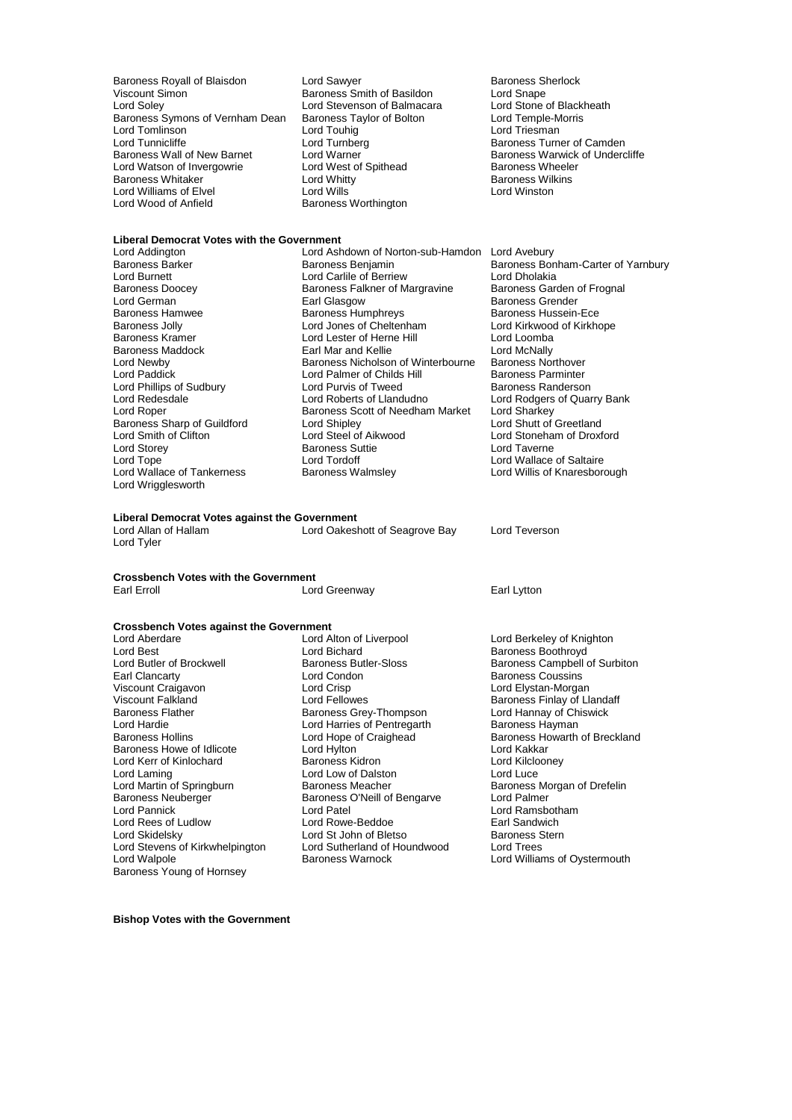Baroness Royall of Blaisdon Lord Sawyer Constantino Baroness Sherlock<br>
Viscount Simon Constantino Baroness Smith of Basildon Lord Snape Viscount Simon **Baroness** Smith of Basildon **Lord Snape**<br>
Lord Solev Lord Stevenson of Balmacara 
Lord Stone of Blackheath Baroness Symons of Vernham Dean Baroness Taylor of Bolton Lord Temple-M<br>
Lord Tomlinson Lord Touhig Lord Triesman Lord Tomlinson<br>
Lord Tunnicliffe 
Lord Tunnicliffe 
Lord Tunnberg Lord Tunnicliffe Lord Turnberg Corporation and Corporation Camden<br>Baroness Wall of New Barnet Lord Warner Corporation Baroness Warwick of Underc Lord Watson of Invergowrie **Lord West of Spithead** Baroness Wheeler Baroness Wheeler Baroness Wilkins Baroness Whitaker **Example 2** Lord Whitty **Constructs Baroness Will**<br>
Lord Williams of Elvel **Reserves Lord Wills** Lord Williams of Elvel<br>Lord Wood of Anfield

Lord Stevenson of Balmacara Lord Stone of Blackl<br>
Baroness Taylor of Bolton Lord Temple-Morris Baroness Worthington

Lord Warner Theory Caroness Warwick of Undercliffe<br>
Lord West of Spithead<br>
Baroness Wheeler

## **Liberal Democrat Votes with the Government**

Lord Phillips of Sudbury Lord Purvis of Tweed<br>
Lord Redesdale **Baroness Randers** Lord Roberts of Llandudno Baroness Sharp of Guildford Lord Shipley<br>
Lord Smith of Clifton Lord Steel of Aikwood Lord Storey **Baroness Suttie Lord Tope**<br>
Lord Tope **Baroness** Suttie Lord Tordoff Lord Wrigglesworth

Lord Addington Lord Ashdown of Norton-sub-Hamdon Lord Avebury Baroness Barker **Baroness Benjamin** Baroness Benjamin Baroness Bonham-Carter of Yarnbury<br>Baroness Bonham-Carter of Saring Barcers Berriew Lord Dholakia Lord Burnett<br>Baroness Doocev Baroness Falkner of Margravine Baroness Doocey **Baroness Falkner of Margravine** Baroness Garden of Frognal<br>
Lord German **Baroness Exal Glasgow** Baroness Grender Lord German **Earl Glasgow** Earl Glasgow Baroness Grender<br>Baroness Hamwee **Baroness Humphreys** Baroness Hussein Baroness Hamwee **Baroness Humphreys** Baroness Hussein-Ece<br>Baroness Jolly **Baroness Humphreys** Lord Lord Kirkwood of Kirkhope Baroness Jolly Lord Jones of Cheltenham Lord Kirkwood of Kirkhope Lord Lester of Herne Hill **Lord Loomba**<br> **Earl Mar and Kellie Lord McNally** Baroness Maddock **Earl Mar and Kellie** Lord McNally<br>
Lord Newby **Earl Mar and Kellie Communist Communist Communist Communist Communist Communist Communist Communist** Lord Newby **Baroness Nicholson of Winterbourne** Baroness Northover<br>
Lord Palmer of Childs Hill **Baroness Parminter** Lord Palmer of Childs Hill Baroness Parminter<br>
Lord Purvis of Tweed Baroness Randerson Lord Redesdale Lord Roberts of Llandudno<br>
Lord Robert Cord Roberts of Llandudno<br>
Lord Robert Lord Sharkey Baroness Scott of Needham Market Lord Sharkey<br>Lord Shipley Lord Shutt of Greetland Lord Smith of Clifton Lord Steel of Aikwood Lord Stoneham of Droxford Lord Tope<br>
Lord Tordoff 
Lord Cord Wallace of Tankerness

Lord Wallace of Tankerness

Lord Wallace of Tankerness

Lord Wallace of Tankerness

Lord Wallace of Tankerness

Lord Wallace of Tankerness

Lord Wallace of Tanker

**Liberal Democrat Votes against the Government** Lord Oakeshott of Seagrove Bay Lord Teverson Lord Tyler

**Crossbench Votes with the Government**

Lord Best Lord Bichard Corporation Baroness Boothroyd<br>Cord Butler of Brockwell Baroness Butler-Sloss Campbell c Earl Clancarty Lord Condon Baroness Coussins Viscount Craigavon Lord Crisp Lord Elystan-Morgan Viscount Falkland **Viscount Falkland** Lord Fellowes **Baroness Finlay of Llandaff**<br>Baroness Flather Baroness Grey-Thompson Lord Hannay of Chiswick Baroness Flather **Baroness Grey-Thompson** Exercise Scretz Lord Hannay of Chi<br>Baroness Hayman Lord Harries of Pentregarth Baroness Hayman Lord Hardie Lord Harries of Pentregarth Baroness Hollins<br>
Lord Hope of Craighead Baroness Howe of Idlicote **Lord Hylton** Lord The Lord Kakkar<br>
Lord Kerr of Kinlochard **Baroness Kidron** Baroness Kidron Lord Kilclooney Lord Kerr of Kinlochard **Baroness Kidron** Baroness Kidron Lord Kilclooney<br>
Lord Laming Lord Lord Lord Lord Cow of Dalston Lord Lord Lord Luce Lord Laming Lord Low of Dalston<br>
Lord Martin of Springburn Lord Baroness Meacher Lord Martin of Springburn **Baroness Meacher Baroness Meacher** Baroness Morgan of Drefelin<br>Baroness Neuberger **Baroness O'Neill of Bengarve** Lord Palmer Baroness Neuberger Baroness O'Neill of Bengarve<br>
Lord Pannick<br>
Lord Patel Lord Rees of Ludlow **Lord Rowe-Beddoe** Earl Sandwich<br>
Lord Skidelsky **Lord St John of Bletso** Baroness Stern Lord Stevens of Kirkwhelpington Lord Sutherland of Lord Sutherland of Independent Cord Walpole Baroness Young of Hornsey

**Crossbench Votes against the Government** Lord Aberdare Lord Alton of Liverpool Lord Berkeley of Knighton Lord Patel **Lord Ramsbotham**<br>
Lord Rowe-Beddoe **Lord Ramsbotham**<br>
Earl Sandwich Lord St John of Bletso Baroness S<br>
Lord Sutherland of Houndwood Lord Trees

Lord Willis of Knaresborough

Lord Greenway **Earl Lytton** 

Lord Butler of Brockwell **Baroness Butler-Sloss** Baroness Campbell of Surbiton<br>Baroness Coussins Baroness Coussins **Baroness** Coussins Lord Hope of Craighead Baroness Howarth of Breckland<br>
Lord Kakkar<br>
Lord Kakkar Lord Williams of Oystermouth

**Bishop Votes with the Government**